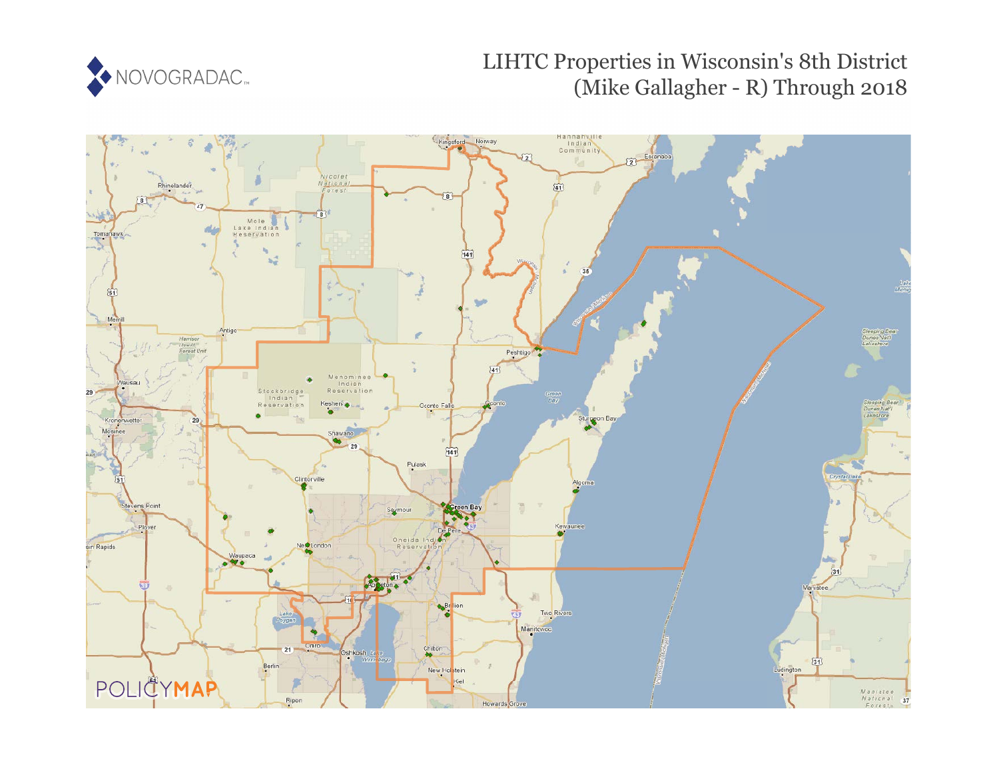

# LIHTC Properties in Wisconsin's 8th District (Mike Gallagher - R) Through 2018

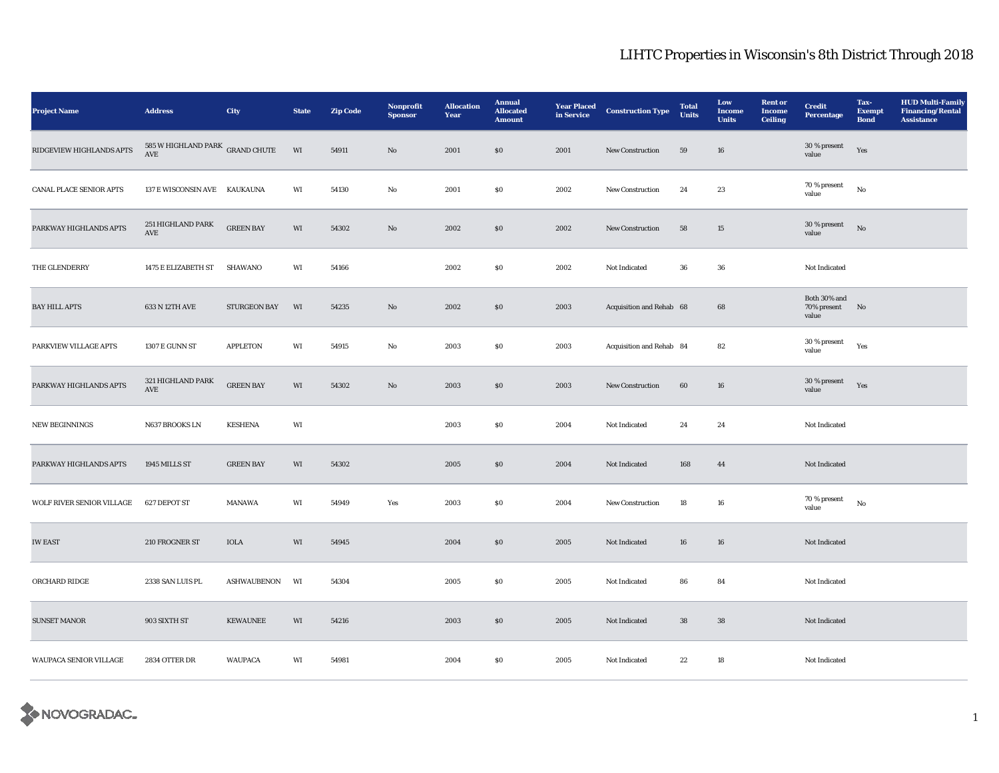| <b>Project Name</b>            | <b>Address</b>                                          | City                | <b>State</b>           | <b>Zip Code</b> | Nonprofit<br><b>Sponsor</b> | <b>Allocation</b><br>Year | <b>Annual</b><br><b>Allocated</b><br><b>Amount</b> | <b>Year Placed</b><br>in Service | <b>Construction Type</b> | <b>Total</b><br><b>Units</b> | Low<br><b>Income</b><br><b>Units</b> | <b>Rent or</b><br><b>Income</b><br><b>Ceiling</b> | <b>Credit</b><br><b>Percentage</b>   | Tax-<br><b>Exempt</b><br><b>Bond</b> | <b>HUD Multi-Family</b><br><b>Financing/Rental</b><br><b>Assistance</b> |
|--------------------------------|---------------------------------------------------------|---------------------|------------------------|-----------------|-----------------------------|---------------------------|----------------------------------------------------|----------------------------------|--------------------------|------------------------------|--------------------------------------|---------------------------------------------------|--------------------------------------|--------------------------------------|-------------------------------------------------------------------------|
| RIDGEVIEW HIGHLANDS APTS       | 585 W HIGHLAND PARK GRAND CHUTE<br>$\operatorname{AVE}$ |                     | $\mathbf{W}\mathbf{I}$ | 54911           | $\mathbf{No}$               | 2001                      | $\$0$                                              | 2001                             | New Construction         | ${\bf 59}$                   | ${\bf 16}$                           |                                                   | 30 % present<br>value                | Yes                                  |                                                                         |
| <b>CANAL PLACE SENIOR APTS</b> | 137 E WISCONSIN AVE KAUKAUNA                            |                     | WI                     | 54130           | $\mathbf{No}$               | 2001                      | $\$0$                                              | 2002                             | New Construction         | 24                           | 23                                   |                                                   | 70 % present<br>value                | No                                   |                                                                         |
| PARKWAY HIGHLANDS APTS         | 251 HIGHLAND PARK<br>$\operatorname{AVE}$               | <b>GREEN BAY</b>    | WI                     | 54302           | $\mathbf{N}\mathbf{o}$      | 2002                      | $\$0$                                              | 2002                             | New Construction         | 58                           | 15                                   |                                                   | 30 % present<br>value                | No                                   |                                                                         |
| THE GLENDERRY                  | 1475 E ELIZABETH ST                                     | SHAWANO             | WI                     | 54166           |                             | 2002                      | ${\bf S0}$                                         | 2002                             | Not Indicated            | 36                           | ${\bf 36}$                           |                                                   | Not Indicated                        |                                      |                                                                         |
| <b>BAY HILL APTS</b>           | 633 N 12TH AVE                                          | <b>STURGEON BAY</b> | WI                     | 54235           | $\mathbf{N}\mathbf{o}$      | 2002                      | \$0                                                | 2003                             | Acquisition and Rehab 68 |                              | 68                                   |                                                   | Both 30% and<br>70% present<br>value | N <sub>o</sub>                       |                                                                         |
| PARKVIEW VILLAGE APTS          | 1307 E GUNN ST                                          | <b>APPLETON</b>     | WI                     | 54915           | $\mathbf{No}$               | 2003                      | $\$0$                                              | 2003                             | Acquisition and Rehab 84 |                              | ${\bf 82}$                           |                                                   | 30 % present<br>value                | Yes                                  |                                                                         |
| PARKWAY HIGHLANDS APTS         | 321 HIGHLAND PARK<br>$\operatorname{AVE}$               | <b>GREEN BAY</b>    | WI                     | 54302           | $\mathbf{N}\mathbf{o}$      | 2003                      | \$0                                                | 2003                             | <b>New Construction</b>  | 60                           | 16                                   |                                                   | 30 % present<br>value                | Yes                                  |                                                                         |
| <b>NEW BEGINNINGS</b>          | N637 BROOKS LN                                          | <b>KESHENA</b>      | WI                     |                 |                             | 2003                      | $\$0$                                              | 2004                             | Not Indicated            | 24                           | 24                                   |                                                   | Not Indicated                        |                                      |                                                                         |
| PARKWAY HIGHLANDS APTS         | 1945 MILLS ST                                           | <b>GREEN BAY</b>    | WI                     | 54302           |                             | 2005                      | \$0                                                | 2004                             | Not Indicated            | 168                          | 44                                   |                                                   | Not Indicated                        |                                      |                                                                         |
| WOLF RIVER SENIOR VILLAGE      | 627 DEPOT ST                                            | MANAWA              | WI                     | 54949           | Yes                         | 2003                      | $\$0$                                              | 2004                             | New Construction         | 18                           | 16                                   |                                                   | 70 % present<br>value                | $_{\rm No}$                          |                                                                         |
| <b>IW EAST</b>                 | 210 FROGNER ST                                          | $\rm{IOLA}$         | WI                     | 54945           |                             | 2004                      | $\$0$                                              | 2005                             | Not Indicated            | 16                           | 16                                   |                                                   | Not Indicated                        |                                      |                                                                         |
| ORCHARD RIDGE                  | 2338 SAN LUIS PL                                        | <b>ASHWAUBENON</b>  | WI                     | 54304           |                             | 2005                      | $\$0$                                              | 2005                             | Not Indicated            | 86                           | 84                                   |                                                   | Not Indicated                        |                                      |                                                                         |
| <b>SUNSET MANOR</b>            | 903 SIXTH ST                                            | <b>KEWAUNEE</b>     | WI                     | 54216           |                             | 2003                      | \$0                                                | 2005                             | Not Indicated            | 38                           | 38                                   |                                                   | Not Indicated                        |                                      |                                                                         |
| WAUPACA SENIOR VILLAGE         | 2834 OTTER DR                                           | <b>WAUPACA</b>      | WI                     | 54981           |                             | 2004                      | $\$0$                                              | 2005                             | Not Indicated            | 22                           | 18                                   |                                                   | Not Indicated                        |                                      |                                                                         |

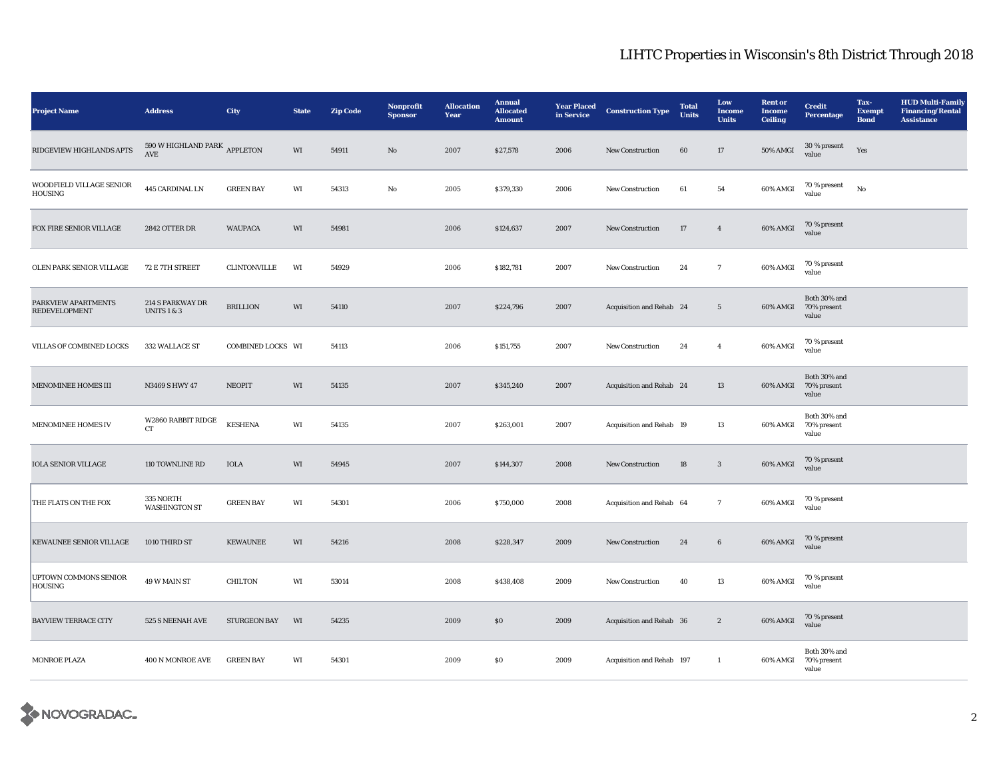| <b>Project Name</b>                         | <b>Address</b>                                       | City              | <b>State</b> | <b>Zip Code</b> | Nonprofit<br><b>Sponsor</b> | <b>Allocation</b><br>Year | <b>Annual</b><br><b>Allocated</b><br><b>Amount</b> | <b>Year Placed</b><br>in Service | <b>Construction Type</b>  | <b>Total</b><br><b>Units</b> | Low<br>Income<br><b>Units</b> | <b>Rent or</b><br><b>Income</b><br><b>Ceiling</b> | <b>Credit</b><br><b>Percentage</b>            | Tax-<br><b>Exempt</b><br><b>Bond</b> | <b>HUD Multi-Family</b><br><b>Financing/Rental</b><br><b>Assistance</b> |
|---------------------------------------------|------------------------------------------------------|-------------------|--------------|-----------------|-----------------------------|---------------------------|----------------------------------------------------|----------------------------------|---------------------------|------------------------------|-------------------------------|---------------------------------------------------|-----------------------------------------------|--------------------------------------|-------------------------------------------------------------------------|
| RIDGEVIEW HIGHLANDS APTS                    | 590 W HIGHLAND PARK APPLETON<br>$\operatorname{AVE}$ |                   | WI           | 54911           | $\mathbf{N}\mathbf{o}$      | 2007                      | \$27,578                                           | 2006                             | New Construction          | 60                           | 17                            | <b>50% AMGI</b>                                   | $30\,\%$ present<br>value                     | Yes                                  |                                                                         |
| WOODFIELD VILLAGE SENIOR<br>HOUSING         | 445 CARDINAL LN                                      | <b>GREEN BAY</b>  | WI           | 54313           | $_{\rm No}$                 | 2005                      | \$379,330                                          | 2006                             | <b>New Construction</b>   | 61                           | 54                            | 60% AMGI                                          | 70 % present<br>value                         | $_{\rm No}$                          |                                                                         |
| FOX FIRE SENIOR VILLAGE                     | 2842 OTTER DR                                        | <b>WAUPACA</b>    | WI           | 54981           |                             | 2006                      | \$124,637                                          | 2007                             | New Construction          | $17\,$                       | $\overline{4}$                | 60% AMGI                                          | 70 % present<br>value                         |                                      |                                                                         |
| OLEN PARK SENIOR VILLAGE                    | 72 E 7TH STREET                                      | CLINTONVILLE      | WI           | 54929           |                             | 2006                      | \$182,781                                          | 2007                             | New Construction          | 24                           | $\mathbf{7}$                  | 60% AMGI                                          | 70 % present<br>value                         |                                      |                                                                         |
| PARKVIEW APARTMENTS<br><b>REDEVELOPMENT</b> | 214 S PARKWAY DR<br><b>UNITS 1 &amp; 3</b>           | <b>BRILLION</b>   | WI           | 54110           |                             | 2007                      | \$224,796                                          | 2007                             | Acquisition and Rehab 24  |                              | $5\phantom{.0}$               |                                                   | Both 30% and<br>60% AMGI 70% present<br>value |                                      |                                                                         |
| VILLAS OF COMBINED LOCKS                    | 332 WALLACE ST                                       | COMBINED LOCKS WI |              | 54113           |                             | 2006                      | \$151,755                                          | 2007                             | New Construction          | 24                           | $\overline{4}$                | 60% AMGI                                          | 70 % present<br>value                         |                                      |                                                                         |
| MENOMINEE HOMES III                         | N3469 S HWY 47                                       | <b>NEOPIT</b>     | WI           | 54135           |                             | 2007                      | \$345,240                                          | 2007                             | Acquisition and Rehab 24  |                              | 13                            | 60% AMGI                                          | Both 30% and<br>70% present<br>value          |                                      |                                                                         |
| MENOMINEE HOMES IV                          | W2860 RABBIT RIDGE<br>${\rm CT}$                     | <b>KESHENA</b>    | WI           | 54135           |                             | 2007                      | \$263,001                                          | 2007                             | Acquisition and Rehab 19  |                              | 13                            | 60% AMGI                                          | Both $30\%$ and<br>70% present<br>value       |                                      |                                                                         |
| <b>IOLA SENIOR VILLAGE</b>                  | 110 TOWNLINE RD                                      | <b>IOLA</b>       | WI           | 54945           |                             | 2007                      | \$144,307                                          | 2008                             | New Construction          | 18                           | $\mathbf{3}$                  | 60% AMGI                                          | 70 % present<br>value                         |                                      |                                                                         |
| THE FLATS ON THE FOX                        | 335 NORTH<br><b>WASHINGTON ST</b>                    | <b>GREEN BAY</b>  | WI           | 54301           |                             | 2006                      | \$750,000                                          | 2008                             | Acquisition and Rehab 64  |                              | $7\phantom{.0}$               | 60% AMGI                                          | 70 % present<br>value                         |                                      |                                                                         |
| <b>KEWAUNEE SENIOR VILLAGE</b>              | 1010 THIRD ST                                        | <b>KEWAUNEE</b>   | WI           | 54216           |                             | 2008                      | \$228,347                                          | 2009                             | New Construction          | 24                           | $6\phantom{.0}$               | 60% AMGI                                          | 70 % present<br>value                         |                                      |                                                                         |
| UPTOWN COMMONS SENIOR<br><b>HOUSING</b>     | 49 W MAIN ST                                         | <b>CHILTON</b>    | WI           | 53014           |                             | 2008                      | \$438,408                                          | 2009                             | New Construction          | 40                           | 13                            | 60% AMGI                                          | 70 % present<br>value                         |                                      |                                                                         |
| <b>BAYVIEW TERRACE CITY</b>                 | 525 S NEENAH AVE                                     | STURGEON BAY      | WI           | 54235           |                             | 2009                      | $\$0$                                              | 2009                             | Acquisition and Rehab 36  |                              | $\boldsymbol{2}$              | 60% AMGI                                          | 70 % present<br>value                         |                                      |                                                                         |
| MONROE PLAZA                                | 400 N MONROE AVE                                     | <b>GREEN BAY</b>  | WI           | 54301           |                             | 2009                      | $\$0$                                              | 2009                             | Acquisition and Rehab 197 |                              | $\mathbf{1}$                  | 60% AMGI                                          | Both 30% and<br>70% present<br>value          |                                      |                                                                         |

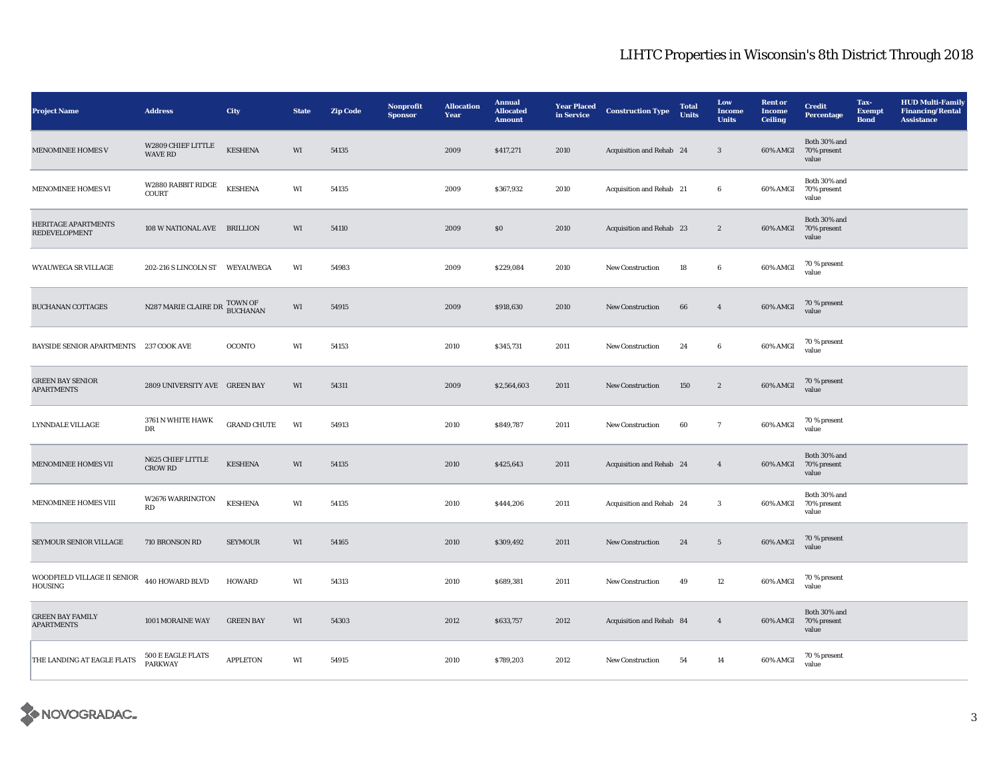| <b>Project Name</b>                          | <b>Address</b>                       | City                       | <b>State</b> | <b>Zip Code</b> | Nonprofit<br><b>Sponsor</b> | <b>Allocation</b><br>Year | <b>Annual</b><br><b>Allocated</b><br><b>Amount</b> | <b>Year Placed</b><br>in Service | <b>Construction Type</b> | <b>Total</b><br>Units | Low<br>Income<br><b>Units</b> | <b>Rent or</b><br><b>Income</b><br><b>Ceiling</b> | <b>Credit</b><br><b>Percentage</b>            | Tax-<br><b>Exempt</b><br><b>Bond</b> | <b>HUD Multi-Family</b><br><b>Financing/Rental</b><br><b>Assistance</b> |
|----------------------------------------------|--------------------------------------|----------------------------|--------------|-----------------|-----------------------------|---------------------------|----------------------------------------------------|----------------------------------|--------------------------|-----------------------|-------------------------------|---------------------------------------------------|-----------------------------------------------|--------------------------------------|-------------------------------------------------------------------------|
| <b>MENOMINEE HOMES V</b>                     | W2809 CHIEF LITTLE<br><b>WAVE RD</b> | <b>KESHENA</b>             | WI           | 54135           |                             | 2009                      | \$417,271                                          | 2010                             | Acquisition and Rehab 24 |                       | $\sqrt{3}$                    |                                                   | Both 30% and<br>60% AMGI 70% present<br>value |                                      |                                                                         |
| <b>MENOMINEE HOMES VI</b>                    | W2880 RABBIT RIDGE<br>COURT          | <b>KESHENA</b>             | WI           | 54135           |                             | 2009                      | \$367,932                                          | 2010                             | Acquisition and Rehab 21 |                       | $6\phantom{.0}$               | 60% AMGI                                          | Both 30% and<br>70% present<br>value          |                                      |                                                                         |
| HERITAGE APARTMENTS<br><b>REDEVELOPMENT</b>  | 108 W NATIONAL AVE BRILLION          |                            | WI           | 54110           |                             | 2009                      | $\$0$                                              | 2010                             | Acquisition and Rehab 23 |                       | $\boldsymbol{2}$              |                                                   | Both 30% and<br>60% AMGI 70% present<br>value |                                      |                                                                         |
| WYAUWEGA SR VILLAGE                          | 202-216 S LINCOLN ST WEYAUWEGA       |                            | WI           | 54983           |                             | 2009                      | \$229,084                                          | 2010                             | New Construction         | 18                    | 6                             | 60% AMGI                                          | 70 % present<br>value                         |                                      |                                                                         |
| <b>BUCHANAN COTTAGES</b>                     | N287 MARIE CLAIRE DR                 | TOWN OF<br><b>BUCHANAN</b> | WI           | 54915           |                             | 2009                      | \$918,630                                          | 2010                             | <b>New Construction</b>  | 66                    | $\overline{4}$                | 60% AMGI                                          | 70 % present<br>value                         |                                      |                                                                         |
| <b>BAYSIDE SENIOR APARTMENTS</b>             | 237 COOK AVE                         | <b>OCONTO</b>              | WI           | 54153           |                             | 2010                      | \$345,731                                          | 2011                             | New Construction         | 24                    | $6\phantom{.0}$               | 60% AMGI                                          | 70 % present<br>value                         |                                      |                                                                         |
| <b>GREEN BAY SENIOR</b><br><b>APARTMENTS</b> | 2809 UNIVERSITY AVE GREEN BAY        |                            | WI           | 54311           |                             | 2009                      | \$2,564,603                                        | 2011                             | <b>New Construction</b>  | 150                   | $\mathbf{2}$                  | 60% AMGI                                          | 70 % present<br>value                         |                                      |                                                                         |
| <b>LYNNDALE VILLAGE</b>                      | 3761 N WHITE HAWK<br>DR              | <b>GRAND CHUTE</b>         | WI           | 54913           |                             | 2010                      | \$849,787                                          | 2011                             | <b>New Construction</b>  | 60                    | $7\phantom{.0}$               | 60% AMGI                                          | 70 % present<br>value                         |                                      |                                                                         |
| MENOMINEE HOMES VII                          | N625 CHIEF LITTLE<br><b>CROW RD</b>  | <b>KESHENA</b>             | WI           | 54135           |                             | 2010                      | \$425,643                                          | 2011                             | Acquisition and Rehab 24 |                       | $\overline{4}$                | 60% AMGI                                          | Both 30% and<br>70% present<br>value          |                                      |                                                                         |
| <b>MENOMINEE HOMES VIII</b>                  | W2676 WARRINGTON<br>RD               | <b>KESHENA</b>             | WI           | 54135           |                             | 2010                      | \$444,206                                          | 2011                             | Acquisition and Rehab 24 |                       | $\mathbf{3}$                  | 60% AMGI                                          | Both 30% and<br>70% present<br>value          |                                      |                                                                         |
| SEYMOUR SENIOR VILLAGE                       | 710 BRONSON RD                       | <b>SEYMOUR</b>             | WI           | 54165           |                             | 2010                      | \$309,492                                          | 2011                             | New Construction         | 24                    | $5\phantom{.0}$               | 60% AMGI                                          | 70 % present<br>value                         |                                      |                                                                         |
| WOODFIELD VILLAGE II SENIOR<br>HOUSING       | 440 HOWARD BLVD                      | <b>HOWARD</b>              | WI           | 54313           |                             | 2010                      | \$689,381                                          | 2011                             | <b>New Construction</b>  | 49                    | 12                            | 60% AMGI                                          | 70 % present<br>value                         |                                      |                                                                         |
| <b>GREEN BAY FAMILY</b><br><b>APARTMENTS</b> | 1001 MORAINE WAY                     | <b>GREEN BAY</b>           | WI           | 54303           |                             | 2012                      | \$633,757                                          | 2012                             | Acquisition and Rehab 84 |                       | $\overline{4}$                | 60% AMGI                                          | Both 30% and<br>70% present<br>value          |                                      |                                                                         |
| THE LANDING AT EAGLE FLATS                   | 500 E EAGLE FLATS<br><b>PARKWAY</b>  | <b>APPLETON</b>            | WI           | 54915           |                             | 2010                      | \$789,203                                          | 2012                             | New Construction         | 54                    | 14                            | 60% AMGI                                          | 70 % present<br>value                         |                                      |                                                                         |

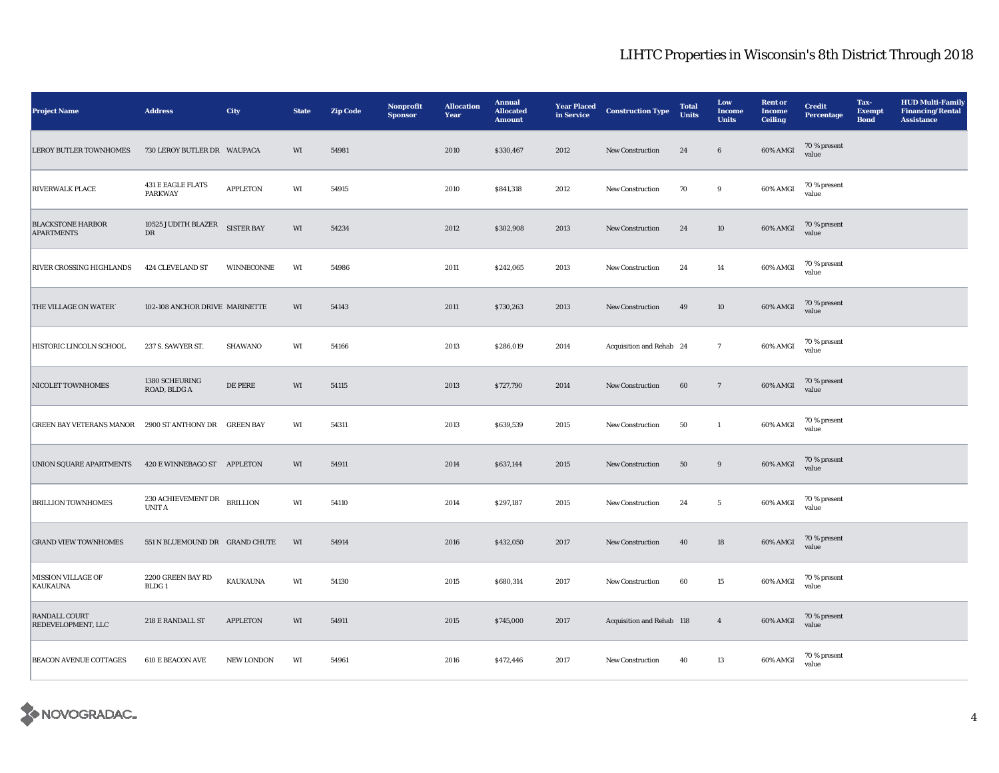| <b>Project Name</b>                                   | <b>Address</b>                             | City              | <b>State</b>           | <b>Zip Code</b> | Nonprofit<br><b>Sponsor</b> | <b>Allocation</b><br>Year | <b>Annual</b><br><b>Allocated</b><br><b>Amount</b> | <b>Year Placed</b><br>in Service | <b>Construction Type</b>  | <b>Total</b><br><b>Units</b> | Low<br><b>Income</b><br><b>Units</b> | <b>Rent or</b><br><b>Income</b><br><b>Ceiling</b> | <b>Credit</b><br><b>Percentage</b> | Tax-<br><b>Exempt</b><br><b>Bond</b> | <b>HUD Multi-Family</b><br><b>Financing/Rental</b><br><b>Assistance</b> |
|-------------------------------------------------------|--------------------------------------------|-------------------|------------------------|-----------------|-----------------------------|---------------------------|----------------------------------------------------|----------------------------------|---------------------------|------------------------------|--------------------------------------|---------------------------------------------------|------------------------------------|--------------------------------------|-------------------------------------------------------------------------|
| LEROY BUTLER TOWNHOMES                                | 730 LEROY BUTLER DR  WAUPACA               |                   | WI                     | 54981           |                             | 2010                      | \$330,467                                          | 2012                             | New Construction          | 24                           | $\,6\,$                              | 60% AMGI                                          | 70 % present<br>value              |                                      |                                                                         |
| <b>RIVERWALK PLACE</b>                                | <b>431 E EAGLE FLATS</b><br><b>PARKWAY</b> | <b>APPLETON</b>   | WI                     | 54915           |                             | 2010                      | \$841,318                                          | 2012                             | New Construction          | 70                           | $\boldsymbol{9}$                     | 60% AMGI                                          | 70 % present<br>value              |                                      |                                                                         |
| <b>BLACKSTONE HARBOR</b><br><b>APARTMENTS</b>         | 10525 JUDITH BLAZER<br>DR                  | <b>SISTER BAY</b> | WI                     | 54234           |                             | 2012                      | \$302,908                                          | 2013                             | New Construction          | 24                           | $10\,$                               | 60% AMGI                                          | 70 % present<br>value              |                                      |                                                                         |
| RIVER CROSSING HIGHLANDS                              | 424 CLEVELAND ST                           | WINNECONNE        | WI                     | 54986           |                             | 2011                      | \$242,065                                          | 2013                             | New Construction          | 24                           | 14                                   | 60% AMGI                                          | 70 % present<br>value              |                                      |                                                                         |
| THE VILLAGE ON WATER                                  | 102-108 ANCHOR DRIVE MARINETTE             |                   | WI                     | 54143           |                             | 2011                      | \$730,263                                          | 2013                             | New Construction          | 49                           | $10\,$                               | 60% AMGI                                          | 70 % present<br>value              |                                      |                                                                         |
| HISTORIC LINCOLN SCHOOL                               | 237 S. SAWYER ST.                          | SHAWANO           | WI                     | 54166           |                             | 2013                      | \$286,019                                          | 2014                             | Acquisition and Rehab 24  |                              | $\overline{7}$                       | 60% AMGI                                          | 70 % present<br>value              |                                      |                                                                         |
| NICOLET TOWNHOMES                                     | 1380 SCHEURING<br>ROAD, BLDG A             | DE PERE           | WI                     | 54115           |                             | 2013                      | \$727,790                                          | 2014                             | New Construction          | 60                           | $7\phantom{.0}$                      | 60% AMGI                                          | 70 % present<br>value              |                                      |                                                                         |
| GREEN BAY VETERANS MANOR 2900 ST ANTHONY DR GREEN BAY |                                            |                   | WI                     | 54311           |                             | 2013                      | \$639,539                                          | 2015                             | New Construction          | 50                           | $\mathbf{1}$                         | 60% AMGI                                          | 70 % present<br>value              |                                      |                                                                         |
| UNION SQUARE APARTMENTS 420 E WINNEBAGO ST APPLETON   |                                            |                   | WI                     | 54911           |                             | 2014                      | \$637,144                                          | 2015                             | New Construction          | 50                           | 9                                    | 60% AMGI                                          | 70 % present<br>value              |                                      |                                                                         |
| <b>BRILLION TOWNHOMES</b>                             | 230 ACHIEVEMENT DR<br>$\,$ UNIT A          | <b>BRILLION</b>   | $\mathbf{W}\mathbf{I}$ | 54110           |                             | 2014                      | \$297,187                                          | 2015                             | New Construction          | 24                           | $\sqrt{5}$                           | 60% AMGI                                          | 70 % present<br>value              |                                      |                                                                         |
| <b>GRAND VIEW TOWNHOMES</b>                           | 551 N BLUEMOUND DR GRAND CHUTE             |                   | WI                     | 54914           |                             | 2016                      | \$432,050                                          | 2017                             | New Construction          | 40                           | 18                                   | $60\%$ AMGI                                       | 70 % present<br>value              |                                      |                                                                         |
| <b>MISSION VILLAGE OF</b><br>KAUKAUNA                 | 2200 GREEN BAY RD<br>BLDG <sub>1</sub>     | KAUKAUNA          | WI                     | 54130           |                             | 2015                      | \$680,314                                          | 2017                             | New Construction          | 60                           | 15                                   | 60% AMGI                                          | 70 % present<br>value              |                                      |                                                                         |
| <b>RANDALL COURT</b><br>REDEVELOPMENT, LLC            | 218 E RANDALL ST                           | <b>APPLETON</b>   | $\mathbf{W}\mathbf{I}$ | 54911           |                             | 2015                      | \$745,000                                          | 2017                             | Acquisition and Rehab 118 |                              | $\overline{4}$                       | $60\%$ AMGI                                       | 70 % present<br>value              |                                      |                                                                         |
| <b>BEACON AVENUE COTTAGES</b>                         | <b>610 E BEACON AVE</b>                    | <b>NEW LONDON</b> | WI                     | 54961           |                             | 2016                      | \$472,446                                          | 2017                             | <b>New Construction</b>   | 40                           | 13                                   | 60% AMGI                                          | 70 % present<br>value              |                                      |                                                                         |

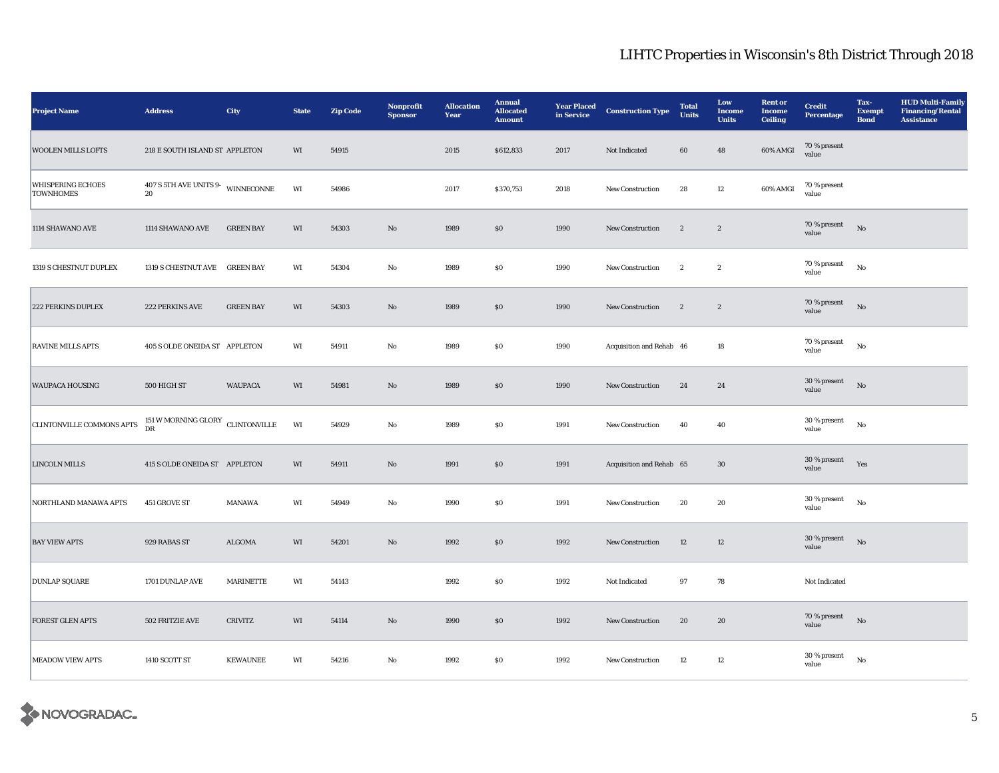| <b>Project Name</b>                          | <b>Address</b>                                            | City             | <b>State</b> | <b>Zip Code</b> | Nonprofit<br><b>Sponsor</b> | <b>Allocation</b><br>Year | <b>Annual</b><br><b>Allocated</b><br><b>Amount</b> | <b>Year Placed</b><br>in Service | <b>Construction Type</b> | <b>Total</b><br><b>Units</b> | Low<br>Income<br><b>Units</b> | <b>Rent or</b><br><b>Income</b><br><b>Ceiling</b> | <b>Credit</b><br>Percentage | Tax-<br><b>Exempt</b><br><b>Bond</b> | <b>HUD Multi-Family</b><br><b>Financing/Rental</b><br><b>Assistance</b> |
|----------------------------------------------|-----------------------------------------------------------|------------------|--------------|-----------------|-----------------------------|---------------------------|----------------------------------------------------|----------------------------------|--------------------------|------------------------------|-------------------------------|---------------------------------------------------|-----------------------------|--------------------------------------|-------------------------------------------------------------------------|
| <b>WOOLEN MILLS LOFTS</b>                    | 218 E SOUTH ISLAND ST APPLETON                            |                  | WI           | 54915           |                             | 2015                      | \$612,833                                          | 2017                             | Not Indicated            | 60                           | 48                            | 60% AMGI                                          | 70 % present<br>value       |                                      |                                                                         |
| <b>WHISPERING ECHOES</b><br><b>TOWNHOMES</b> | $407$ S 5TH AVE UNITS 9- $$\tt WINNECONNE$$<br>${\bf 20}$ |                  | WI           | 54986           |                             | 2017                      | \$370,753                                          | 2018                             | New Construction         | 28                           | 12                            | 60% AMGI                                          | 70 % present<br>value       |                                      |                                                                         |
| 1114 SHAWANO AVE                             | 1114 SHAWANO AVE                                          | <b>GREEN BAY</b> | WI           | 54303           | $\rm No$                    | 1989                      | $\$0$                                              | 1990                             | New Construction         | $\sqrt{2}$                   | $\sqrt{2}$                    |                                                   | 70 % present<br>value       | No                                   |                                                                         |
| 1319 S CHESTNUT DUPLEX                       | 1319 S CHESTNUT AVE GREEN BAY                             |                  | WI           | 54304           | No                          | 1989                      | $\$0$                                              | 1990                             | New Construction         | $\mathbf{2}$                 | $\boldsymbol{2}$              |                                                   | 70 % present<br>value       | $_{\rm No}$                          |                                                                         |
| 222 PERKINS DUPLEX                           | 222 PERKINS AVE                                           | <b>GREEN BAY</b> | WI           | 54303           | $\rm No$                    | 1989                      | $\$0$                                              | 1990                             | New Construction         | $\boldsymbol{2}$             | $\,$ 2 $\,$                   |                                                   | 70 % present<br>value       | $_{\rm No}$                          |                                                                         |
| <b>RAVINE MILLS APTS</b>                     | 405 S OLDE ONEIDA ST APPLETON                             |                  | WI           | 54911           | $\rm No$                    | 1989                      | $\$0$                                              | 1990                             | Acquisition and Rehab 46 |                              | 18                            |                                                   | 70 % present<br>value       | $_{\rm No}$                          |                                                                         |
| <b>WAUPACA HOUSING</b>                       | 500 HIGH ST                                               | <b>WAUPACA</b>   | WI           | 54981           | No                          | 1989                      | \$0                                                | 1990                             | <b>New Construction</b>  | 24                           | 24                            |                                                   | 30 % present<br>value       | No                                   |                                                                         |
| CLINTONVILLE COMMONS APTS                    | $151\,\rm{W}\,\rm{MORNING}$ GLORY $\rm{CLINTONVILLE}$ DR  |                  | WI           | 54929           | No                          | 1989                      | $\$0$                                              | 1991                             | <b>New Construction</b>  | 40                           | 40                            |                                                   | 30 % present<br>value       | $_{\rm No}$                          |                                                                         |
| <b>LINCOLN MILLS</b>                         | 415 S OLDE ONEIDA ST APPLETON                             |                  | WI           | 54911           | $\rm No$                    | 1991                      | $\$0$                                              | 1991                             | Acquisition and Rehab 65 |                              | 30                            |                                                   | 30 % present<br>value       | Yes                                  |                                                                         |
| NORTHLAND MANAWA APTS                        | 451 GROVE ST                                              | MANAWA           | WI           | 54949           | $\rm No$                    | 1990                      | $\$0$                                              | 1991                             | New Construction         | 20                           | 20                            |                                                   | 30 % present<br>value       | $_{\rm No}$                          |                                                                         |
| <b>BAY VIEW APTS</b>                         | 929 RABAS ST                                              | <b>ALGOMA</b>    | WI           | 54201           | No                          | 1992                      | \$0                                                | 1992                             | <b>New Construction</b>  | 12                           | 12                            |                                                   | 30 % present<br>value       | $\rm No$                             |                                                                         |
| <b>DUNLAP SQUARE</b>                         | 1701 DUNLAP AVE                                           | <b>MARINETTE</b> | WI           | 54143           |                             | 1992                      | $\$0$                                              | 1992                             | Not Indicated            | 97                           | 78                            |                                                   | Not Indicated               |                                      |                                                                         |
| <b>FOREST GLEN APTS</b>                      | 502 FRITZIE AVE                                           | <b>CRIVITZ</b>   | WI           | 54114           | $\rm No$                    | 1990                      | $\$0$                                              | 1992                             | New Construction         | 20                           | 20                            |                                                   | 70 % present<br>value       | $\rm No$                             |                                                                         |
| <b>MEADOW VIEW APTS</b>                      | 1410 SCOTT ST                                             | <b>KEWAUNEE</b>  | WI           | 54216           | $\rm No$                    | 1992                      | ${\bf S0}$                                         | 1992                             | New Construction         | 12                           | 12                            |                                                   | 30 % present<br>value       | $_{\rm No}$                          |                                                                         |

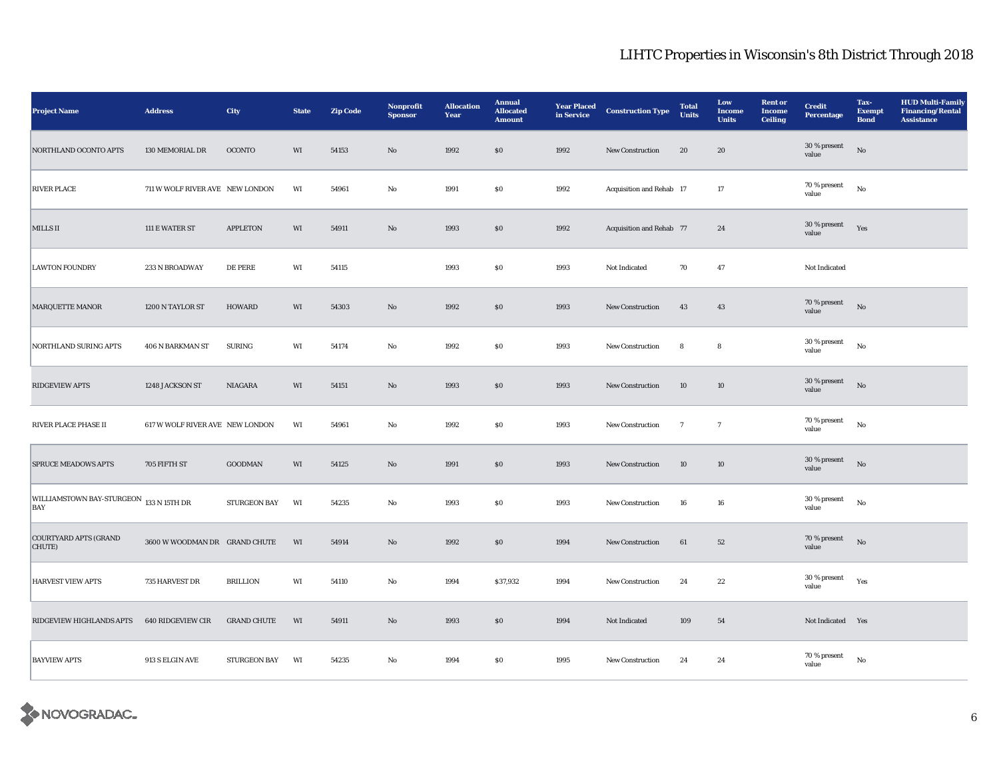| <b>Project Name</b>                            | <b>Address</b>                  | City                | <b>State</b> | Zip Code | Nonprofit<br><b>Sponsor</b> | <b>Allocation</b><br>Year | <b>Annual</b><br><b>Allocated</b><br><b>Amount</b> | <b>Year Placed</b><br>in Service | <b>Construction Type</b> | <b>Total</b><br><b>Units</b> | Low<br>Income<br><b>Units</b> | <b>Rent or</b><br>Income<br><b>Ceiling</b> | <b>Credit</b><br><b>Percentage</b> | Tax-<br><b>Exempt</b><br><b>Bond</b> | <b>HUD Multi-Family</b><br><b>Financing/Rental</b><br><b>Assistance</b> |
|------------------------------------------------|---------------------------------|---------------------|--------------|----------|-----------------------------|---------------------------|----------------------------------------------------|----------------------------------|--------------------------|------------------------------|-------------------------------|--------------------------------------------|------------------------------------|--------------------------------------|-------------------------------------------------------------------------|
| NORTHLAND OCONTO APTS                          | 130 MEMORIAL DR                 | <b>OCONTO</b>       | WI           | 54153    | $\rm No$                    | 1992                      | $\$0$                                              | 1992                             | New Construction         | $20\,$                       | ${\bf 20}$                    |                                            | 30 % present<br>value              | $_{\rm No}$                          |                                                                         |
| <b>RIVER PLACE</b>                             | 711 W WOLF RIVER AVE NEW LONDON |                     | WI           | 54961    | No                          | 1991                      | $\$0$                                              | 1992                             | Acquisition and Rehab 17 |                              | 17                            |                                            | 70 % present<br>value              | $_{\rm No}$                          |                                                                         |
| MILLS II                                       | 111 E WATER ST                  | <b>APPLETON</b>     | WI           | 54911    | $\mathbf{N}\mathbf{o}$      | 1993                      | \$0                                                | 1992                             | Acquisition and Rehab 77 |                              | 24                            |                                            | 30 % present<br>value              | Yes                                  |                                                                         |
| <b>LAWTON FOUNDRY</b>                          | 233 N BROADWAY                  | DE PERE             | WI           | 54115    |                             | 1993                      | SO.                                                | 1993                             | Not Indicated            | 70                           | 47                            |                                            | Not Indicated                      |                                      |                                                                         |
| MARQUETTE MANOR                                | 1200 N TAYLOR ST                | <b>HOWARD</b>       | WI           | 54303    | No                          | 1992                      | $\$0$                                              | 1993                             | New Construction         | 43                           | 43                            |                                            | 70 % present<br>value              | $_{\rm No}$                          |                                                                         |
| NORTHLAND SURING APTS                          | 406 N BARKMAN ST                | <b>SURING</b>       | WI           | 54174    | $\rm\thinspace No$          | 1992                      | $\$0$                                              | 1993                             | New Construction         | 8                            | ${\bf 8}$                     |                                            | 30 % present<br>value              | $_{\rm No}$                          |                                                                         |
| <b>RIDGEVIEW APTS</b>                          | 1248 JACKSON ST                 | NIAGARA             | WI           | 54151    | $\mathbf{N}\mathbf{o}$      | 1993                      | $\$0$                                              | 1993                             | New Construction         | 10                           | 10                            |                                            | 30 % present<br>value              | No                                   |                                                                         |
| RIVER PLACE PHASE II                           | 617 W WOLF RIVER AVE NEW LONDON |                     | WI           | 54961    | No                          | 1992                      | $\$0$                                              | 1993                             | New Construction         | $\overline{7}$               | $\overline{7}$                |                                            | 70 % present<br>value              | $_{\rm No}$                          |                                                                         |
| <b>SPRUCE MEADOWS APTS</b>                     | 705 FIFTH ST                    | GOODMAN             | WI           | 54125    | $\rm No$                    | 1991                      | $\$0$                                              | 1993                             | New Construction         | $10\,$                       | $10\,$                        |                                            | 30 % present<br>value              | $_{\rm No}$                          |                                                                         |
| WILLIAMSTOWN BAY-STURGEON 133 N 15TH DR<br>BAY |                                 | STURGEON BAY        | WI           | 54235    | $\rm\thinspace No$          | 1993                      | $\bf{S0}$                                          | 1993                             | New Construction         | 16                           | ${\bf 16}$                    |                                            | 30 % present<br>value              | $_{\rm No}$                          |                                                                         |
| <b>COURTYARD APTS (GRAND</b><br>CHUTE)         | 3600 W WOODMAN DR GRAND CHUTE   |                     | WI           | 54914    | $\mathbf{N}\mathbf{o}$      | 1992                      | $\$0$                                              | 1994                             | New Construction         | 61                           | 52                            |                                            | 70 % present<br>value              | No                                   |                                                                         |
| <b>HARVEST VIEW APTS</b>                       | 735 HARVEST DR                  | <b>BRILLION</b>     | WI           | 54110    | $\rm No$                    | 1994                      | \$37,932                                           | 1994                             | New Construction         | 24                           | $\bf{22}$                     |                                            | 30 % present<br>value              | Yes                                  |                                                                         |
| RIDGEVIEW HIGHLANDS APTS                       | 640 RIDGEVIEW CIR               | <b>GRAND CHUTE</b>  | WI           | 54911    | $\rm No$                    | 1993                      | $\$0$                                              | 1994                             | Not Indicated            | 109                          | ${\bf 54}$                    |                                            | Not Indicated Yes                  |                                      |                                                                         |
| <b>BAYVIEW APTS</b>                            | 913 S ELGIN AVE                 | <b>STURGEON BAY</b> | WI           | 54235    | No                          | 1994                      | $\$0$                                              | 1995                             | New Construction         | 24                           | 24                            |                                            | 70 % present<br>value              | $_{\rm No}$                          |                                                                         |

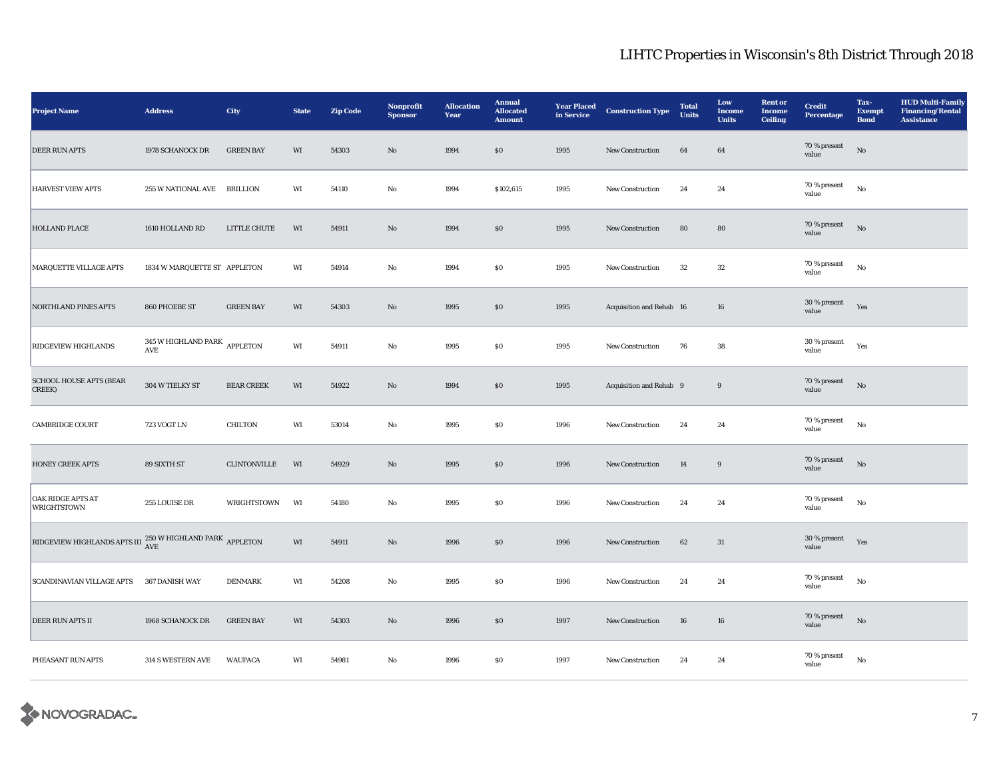| <b>Project Name</b>                                                                 | <b>Address</b>                                       | City              | <b>State</b> | Zip Code | Nonprofit<br><b>Sponsor</b> | <b>Allocation</b><br>Year | <b>Annual</b><br><b>Allocated</b><br><b>Amount</b> | <b>Year Placed</b><br>in Service | <b>Construction Type</b> | <b>Total</b><br><b>Units</b> | Low<br><b>Income</b><br><b>Units</b> | <b>Rent or</b><br><b>Income</b><br><b>Ceiling</b> | <b>Credit</b><br><b>Percentage</b> | Tax-<br><b>Exempt</b><br><b>Bond</b> | <b>HUD Multi-Family</b><br><b>Financing/Rental</b><br><b>Assistance</b> |
|-------------------------------------------------------------------------------------|------------------------------------------------------|-------------------|--------------|----------|-----------------------------|---------------------------|----------------------------------------------------|----------------------------------|--------------------------|------------------------------|--------------------------------------|---------------------------------------------------|------------------------------------|--------------------------------------|-------------------------------------------------------------------------|
| <b>DEER RUN APTS</b>                                                                | 1978 SCHANOCK DR                                     | <b>GREEN BAY</b>  | WI           | 54303    | $\mathbf{N}\mathbf{o}$      | 1994                      | $\$0$                                              | 1995                             | New Construction         | 64                           | 64                                   |                                                   | 70 % present<br>value              | No                                   |                                                                         |
| <b>HARVEST VIEW APTS</b>                                                            | 255 W NATIONAL AVE BRILLION                          |                   | WI           | 54110    | No                          | 1994                      | \$102,615                                          | 1995                             | New Construction         | 24                           | 24                                   |                                                   | 70 % present<br>value              | No                                   |                                                                         |
| HOLLAND PLACE                                                                       | 1610 HOLLAND RD                                      | LITTLE CHUTE      | WI           | 54911    | $\mathbf{N}\mathbf{o}$      | 1994                      | $\$0$                                              | 1995                             | New Construction         | ${\bf 80}$                   | ${\bf 80}$                           |                                                   | 70 % present<br>value              | $_{\rm No}$                          |                                                                         |
| <b>MARQUETTE VILLAGE APTS</b>                                                       | 1834 W MARQUETTE ST APPLETON                         |                   | WI           | 54914    | No                          | 1994                      | $\$0$                                              | 1995                             | New Construction         | 32                           | $32\,$                               |                                                   | 70 % present<br>value              | No                                   |                                                                         |
| <b>NORTHLAND PINES APTS</b>                                                         | 860 PHOEBE ST                                        | <b>GREEN BAY</b>  | WI           | 54303    | $\mathbf{No}$               | 1995                      | \$0                                                | 1995                             | Acquisition and Rehab 16 |                              | 16                                   |                                                   | 30 % present<br>value              | Yes                                  |                                                                         |
| RIDGEVIEW HIGHLANDS                                                                 | 345 W HIGHLAND PARK APPLETON<br>$\operatorname{AVE}$ |                   | WI           | 54911    | No                          | 1995                      | <b>SO</b>                                          | 1995                             | <b>New Construction</b>  | 76                           | 38                                   |                                                   | 30 % present<br>value              | Yes                                  |                                                                         |
| <b>SCHOOL HOUSE APTS (BEAR</b><br>CREEK)                                            | 304 W TIELKY ST                                      | <b>BEAR CREEK</b> | WI           | 54922    | $\mathbf{No}$               | 1994                      | \$0                                                | 1995                             | Acquisition and Rehab 9  |                              | $9\,$                                |                                                   | 70 % present<br>value              | $_{\rm No}$                          |                                                                         |
| <b>CAMBRIDGE COURT</b>                                                              | <b>723 VOGT LN</b>                                   | <b>CHILTON</b>    | WI           | 53014    | No                          | 1995                      | $\$0$                                              | 1996                             | New Construction         | 24                           | 24                                   |                                                   | 70 % present<br>value              | No                                   |                                                                         |
| <b>HONEY CREEK APTS</b>                                                             | 89 SIXTH ST                                          | CLINTONVILLE      | WI           | 54929    | No                          | 1995                      | \$0                                                | 1996                             | <b>New Construction</b>  | 14                           | $9\,$                                |                                                   | 70 % present<br>value              | No                                   |                                                                         |
| <b>OAK RIDGE APTS AT</b><br><b>WRIGHTSTOWN</b>                                      | 255 LOUISE DR                                        | WRIGHTSTOWN       | WI           | 54180    | No                          | 1995                      | $\$0$                                              | 1996                             | New Construction         | 24                           | 24                                   |                                                   | 70 % present<br>value              | No                                   |                                                                         |
| RIDGEVIEW HIGHLANDS APTS III $^{250\, {\rm W}\, {\rm HI}$ GHLAND PARK $\,$ APPLETON |                                                      |                   | WI           | 54911    | $\mathbf{N}\mathbf{o}$      | 1996                      | \$0                                                | 1996                             | <b>New Construction</b>  | 62                           | 31                                   |                                                   | 30 % present<br>value              | Yes                                  |                                                                         |
| <b>SCANDINAVIAN VILLAGE APTS</b>                                                    | 367 DANISH WAY                                       | <b>DENMARK</b>    | WI           | 54208    | No                          | 1995                      | $\$0$                                              | 1996                             | New Construction         | 24                           | 24                                   |                                                   | 70 % present<br>value              | No                                   |                                                                         |
| DEER RUN APTS II                                                                    | 1968 SCHANOCK DR                                     | <b>GREEN BAY</b>  | WI           | 54303    | $\mathbf{N}\mathbf{o}$      | 1996                      | \$0                                                | 1997                             | <b>New Construction</b>  | 16                           | 16                                   |                                                   | 70 % present<br>value              | $\rm No$                             |                                                                         |
| PHEASANT RUN APTS                                                                   | 314 S WESTERN AVE                                    | <b>WAUPACA</b>    | WI           | 54981    | No                          | 1996                      | $\$0$                                              | 1997                             | New Construction         | 24                           | 24                                   |                                                   | 70 % present<br>value              | $\rm No$                             |                                                                         |

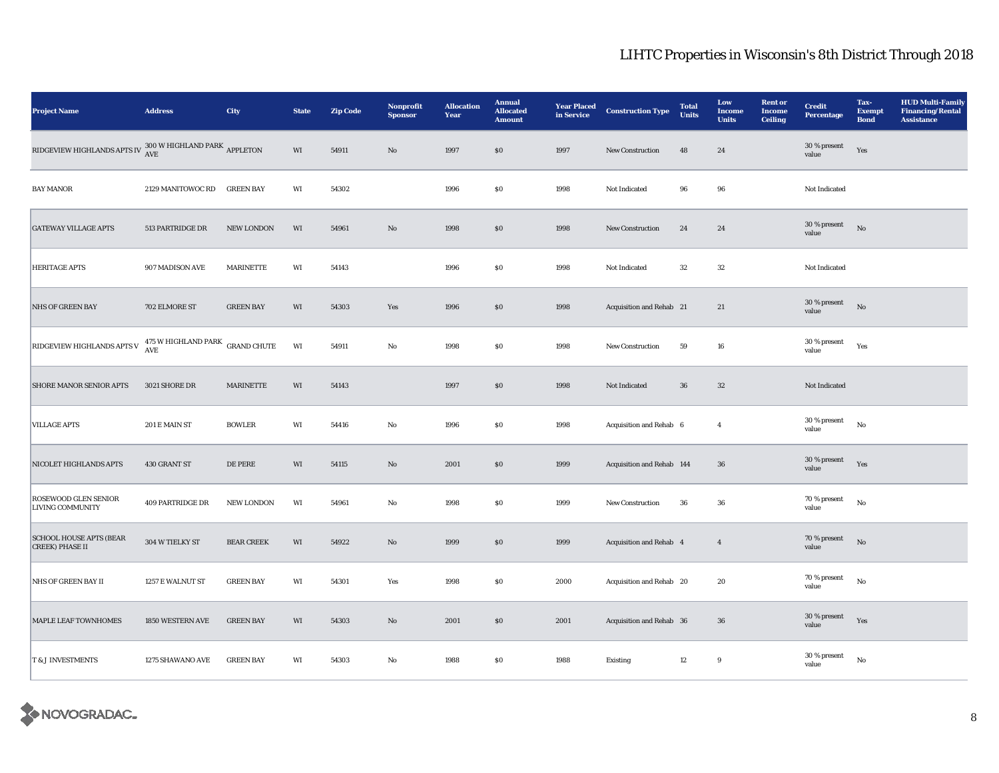| <b>Project Name</b>                                                                           | <b>Address</b>                             | City              | <b>State</b>           | <b>Zip Code</b> | Nonprofit<br><b>Sponsor</b> | <b>Allocation</b><br>Year | <b>Annual</b><br><b>Allocated</b><br><b>Amount</b> | <b>Year Placed</b><br>in Service | <b>Construction Type</b>  | <b>Total</b><br><b>Units</b> | Low<br><b>Income</b><br><b>Units</b> | <b>Rent or</b><br><b>Income</b><br><b>Ceiling</b> | <b>Credit</b><br><b>Percentage</b> | Tax-<br><b>Exempt</b><br><b>Bond</b> | <b>HUD Multi-Family</b><br><b>Financing/Rental</b><br><b>Assistance</b> |
|-----------------------------------------------------------------------------------------------|--------------------------------------------|-------------------|------------------------|-----------------|-----------------------------|---------------------------|----------------------------------------------------|----------------------------------|---------------------------|------------------------------|--------------------------------------|---------------------------------------------------|------------------------------------|--------------------------------------|-------------------------------------------------------------------------|
| RIDGEVIEW HIGHLANDS APTS IV $\frac{300 \text{ W HIGHLAND} \text{ PARK}}{\text{AVE}}$ APPLETON |                                            |                   | $\mathbf{W}\mathbf{I}$ | 54911           | $\rm\thinspace No$          | 1997                      | $\$0$                                              | 1997                             | New Construction          | 48                           | ${\bf 24}$                           |                                                   | 30 % present<br>value              | Yes                                  |                                                                         |
| <b>BAY MANOR</b>                                                                              | 2129 MANITOWOC RD GREEN BAY                |                   | WI                     | 54302           |                             | 1996                      | $\$0$                                              | 1998                             | Not Indicated             | 96                           | 96                                   |                                                   | Not Indicated                      |                                      |                                                                         |
| <b>GATEWAY VILLAGE APTS</b>                                                                   | 513 PARTRIDGE DR                           | NEW LONDON        | WI                     | 54961           | $\rm No$                    | 1998                      | $\$0$                                              | 1998                             | New Construction          | 24                           | 24                                   |                                                   | 30 % present<br>value              | $_{\rm No}$                          |                                                                         |
| <b>HERITAGE APTS</b>                                                                          | 907 MADISON AVE                            | MARINETTE         | WI                     | 54143           |                             | 1996                      | $\$0$                                              | 1998                             | Not Indicated             | 32                           | $32\,$                               |                                                   | Not Indicated                      |                                      |                                                                         |
| <b>NHS OF GREEN BAY</b>                                                                       | 702 ELMORE ST                              | <b>GREEN BAY</b>  | WI                     | 54303           | Yes                         | 1996                      | \$0                                                | 1998                             | Acquisition and Rehab 21  |                              | 21                                   |                                                   | 30 % present<br>value              | No                                   |                                                                         |
| RIDGEVIEW HIGHLANDS APTS V                                                                    | $475$ W HIGHLAND PARK $\;$ GRAND CHUTE AVE |                   | $\mathbf{W}\mathbf{I}$ | 54911           | $\rm\thinspace No$          | 1998                      | $\$0$                                              | 1998                             | New Construction          | 59                           | ${\bf 16}$                           |                                                   | 30 % present<br>value              | Yes                                  |                                                                         |
| <b>SHORE MANOR SENIOR APTS</b>                                                                | 3021 SHORE DR                              | <b>MARINETTE</b>  | WI                     | 54143           |                             | 1997                      | \$0                                                | 1998                             | Not Indicated             | 36                           | 32                                   |                                                   | Not Indicated                      |                                      |                                                                         |
| <b>VILLAGE APTS</b>                                                                           | 201 E MAIN ST                              | <b>BOWLER</b>     | WI                     | 54416           | No                          | 1996                      | S <sub>0</sub>                                     | 1998                             | Acquisition and Rehab 6   |                              | $\overline{4}$                       |                                                   | $30$ % present<br>value            | $_{\rm No}$                          |                                                                         |
| NICOLET HIGHLANDS APTS                                                                        | 430 GRANT ST                               | DE PERE           | WI                     | 54115           | $\rm No$                    | 2001                      | \$0                                                | 1999                             | Acquisition and Rehab 144 |                              | $36\,$                               |                                                   | 30 % present<br>value              | Yes                                  |                                                                         |
| ROSEWOOD GLEN SENIOR<br><b>LIVING COMMUNITY</b>                                               | <b>409 PARTRIDGE DR</b>                    | NEW LONDON        | WI                     | 54961           | No                          | 1998                      | SO.                                                | 1999                             | <b>New Construction</b>   | 36                           | 36                                   |                                                   | 70 % present<br>value              | $_{\rm No}$                          |                                                                         |
| <b>SCHOOL HOUSE APTS (BEAR</b><br><b>CREEK) PHASE II</b>                                      | 304 W TIELKY ST                            | <b>BEAR CREEK</b> | $\mathbf{W}\mathbf{I}$ | 54922           | $\rm No$                    | 1999                      | \$0                                                | 1999                             | Acquisition and Rehab 4   |                              | $\overline{4}$                       |                                                   | $70$ % present<br>value            | No                                   |                                                                         |
| <b>NHS OF GREEN BAY II</b>                                                                    | 1257 E WALNUT ST                           | <b>GREEN BAY</b>  | WI                     | 54301           | Yes                         | 1998                      | $\$0$                                              | 2000                             | Acquisition and Rehab 20  |                              | 20                                   |                                                   | 70 % present<br>value              | $_{\rm No}$                          |                                                                         |
| MAPLE LEAF TOWNHOMES                                                                          | 1850 WESTERN AVE                           | <b>GREEN BAY</b>  | WI                     | 54303           | No                          | 2001                      | \$0                                                | 2001                             | Acquisition and Rehab 36  |                              | $36\,$                               |                                                   | 30 % present<br>value              | Yes                                  |                                                                         |
| <b>T &amp; J INVESTMENTS</b>                                                                  | 1275 SHAWANO AVE                           | <b>GREEN BAY</b>  | WI                     | 54303           | $\rm No$                    | 1988                      | $\$0$                                              | 1988                             | Existing                  | 12                           | $\boldsymbol{9}$                     |                                                   | 30 % present<br>value              | $_{\rm No}$                          |                                                                         |